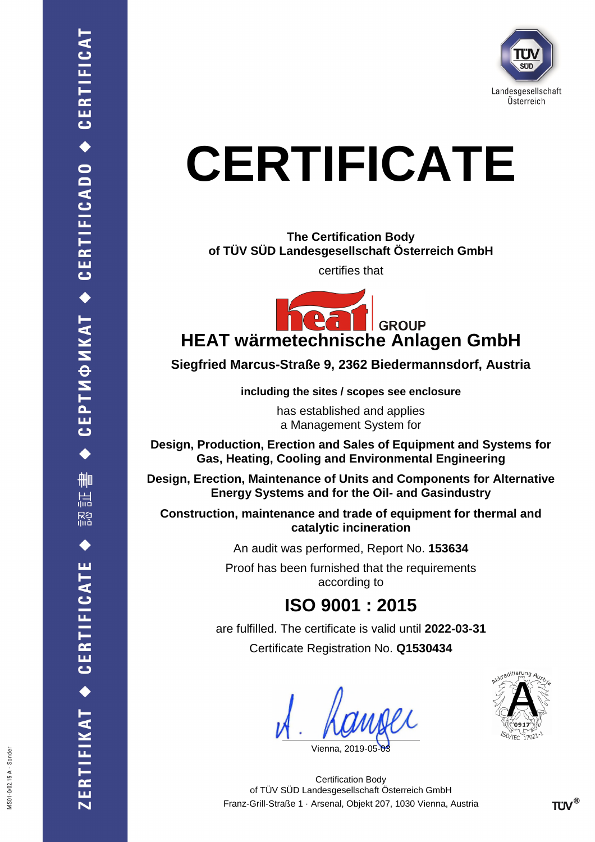

# **CERTIFICATE**

**The Certification Body of TÜV SÜD Landesgesellschaft Österreich GmbH**

certifies that



**Siegfried Marcus-Straße 9, 2362 Biedermannsdorf, Austria**

**including the sites / scopes see enclosure**

has established and applies a Management System for

**Design, Production, Erection and Sales of Equipment and Systems for Gas, Heating, Cooling and Environmental Engineering**

**Design, Erection, Maintenance of Units and Components for Alternative Energy Systems and for the Oil- and Gasindustry**

**Construction, maintenance and trade of equipment for thermal and catalytic incineration**

An audit was performed, Report No. **153634**

Proof has been furnished that the requirements according to

# **ISO 9001 : 2015**

are fulfilled. The certificate is valid until **2022-03-31** Certificate Registration No. **Q1530434**

Vienna, 201